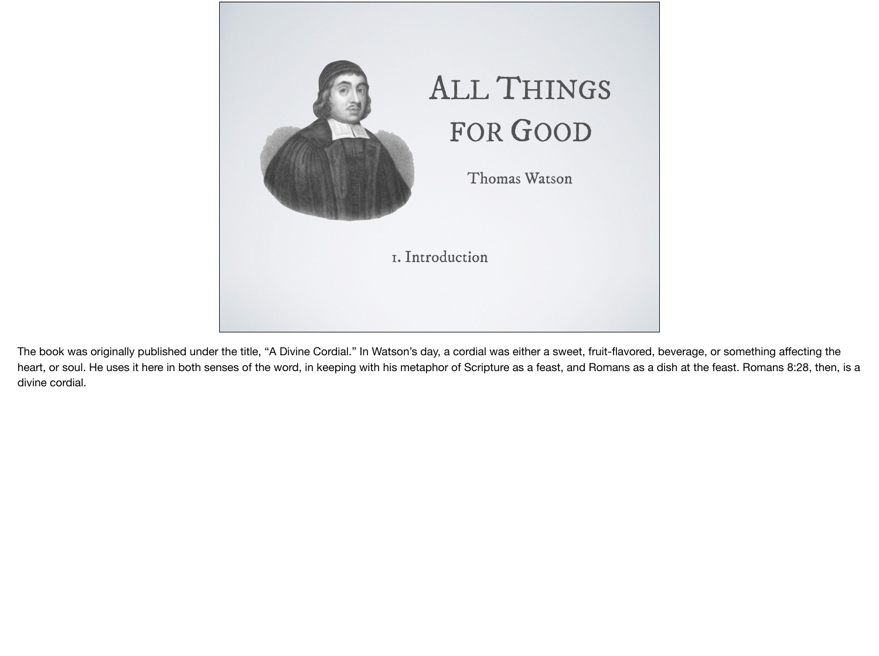

The book was originally published under the title, "A Divine Cordial." In Watson's day, a cordial was either a sweet, fruit-flavored, beverage, or something affecting the heart, or soul. He uses it here in both senses of the word, in keeping with his metaphor of Scripture as a feast, and Romans as a dish at the feast. Romans 8:28, then, is a divine cordial.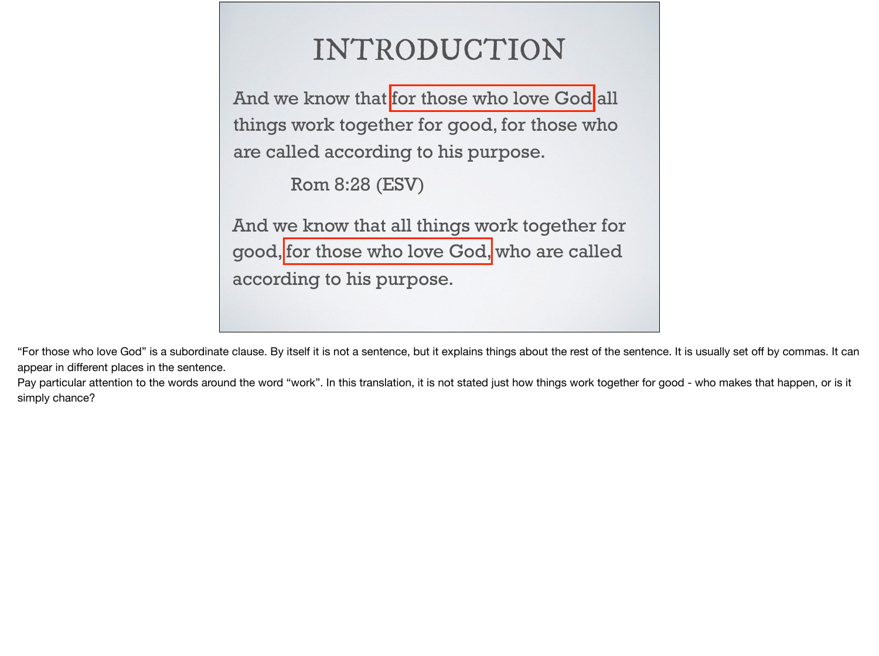| INTRODUCTION                                                                                                                        |
|-------------------------------------------------------------------------------------------------------------------------------------|
| And we know that for those who love God all<br>things work together for good, for those who<br>are called according to his purpose. |
| Rom 8:28 (ESV)                                                                                                                      |
| And we know that all things work together for<br>good, for those who love God, who are called<br>according to his purpose.          |

"For those who love God" is a subordinate clause. By itself it is not a sentence, but it explains things about the rest of the sentence. It is usually set off by commas. It can appear in different places in the sentence.

Pay particular attention to the words around the word "work". In this translation, it is not stated just how things work together for good - who makes that happen, or is it simply chance?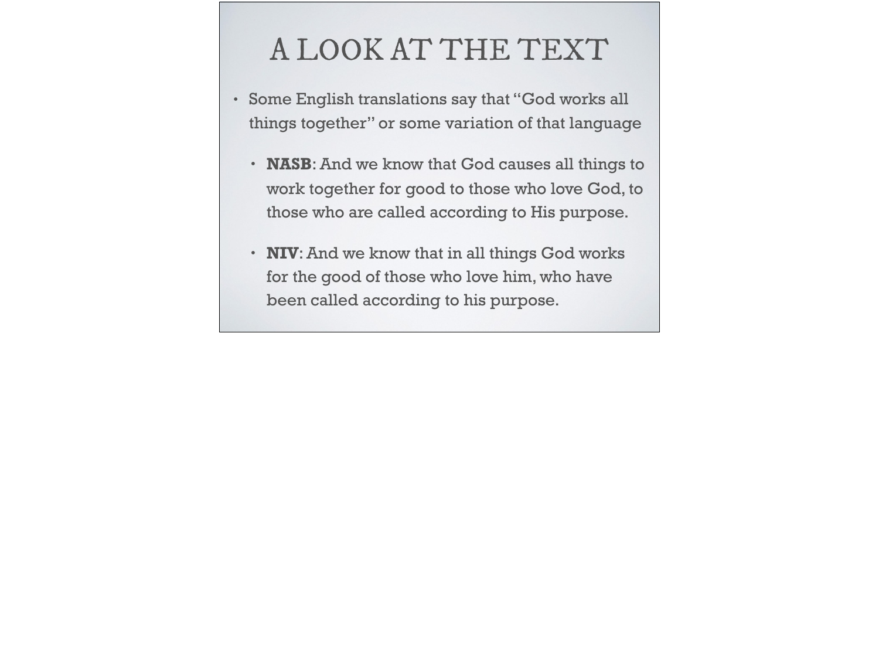## A LOOK AT THE TEXT

- Some English translations say that "God works all things together" or some variation of that language
	- **NASB**: And we know that God causes all things to work together for good to those who love God, to those who are called according to His purpose.
	- **NIV**: And we know that in all things God works for the good of those who love him, who have been called according to his purpose.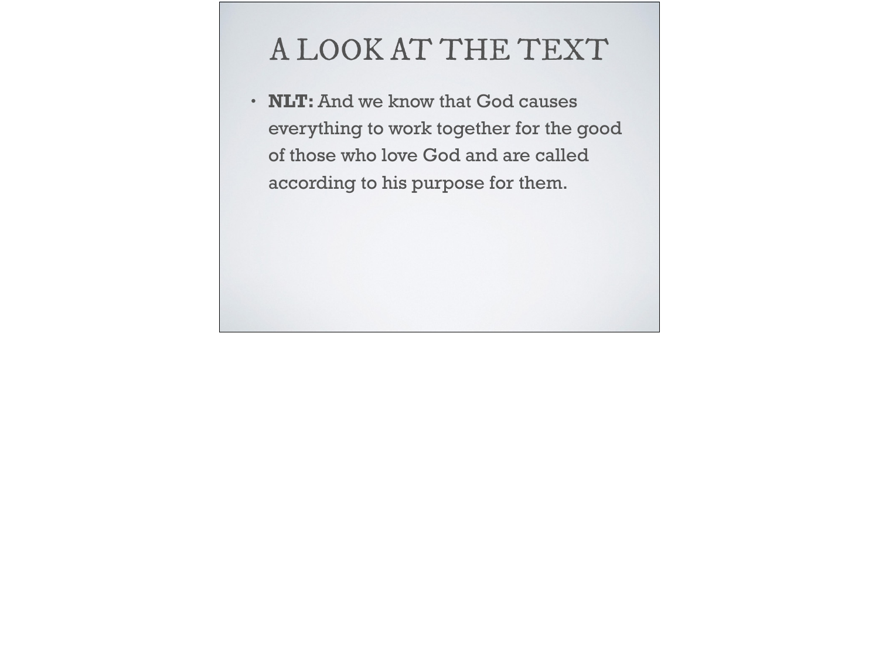## A LOOK AT THE TEXT

• **NLT:** And we know that God causes everything to work together for the good of those who love God and are called according to his purpose for them.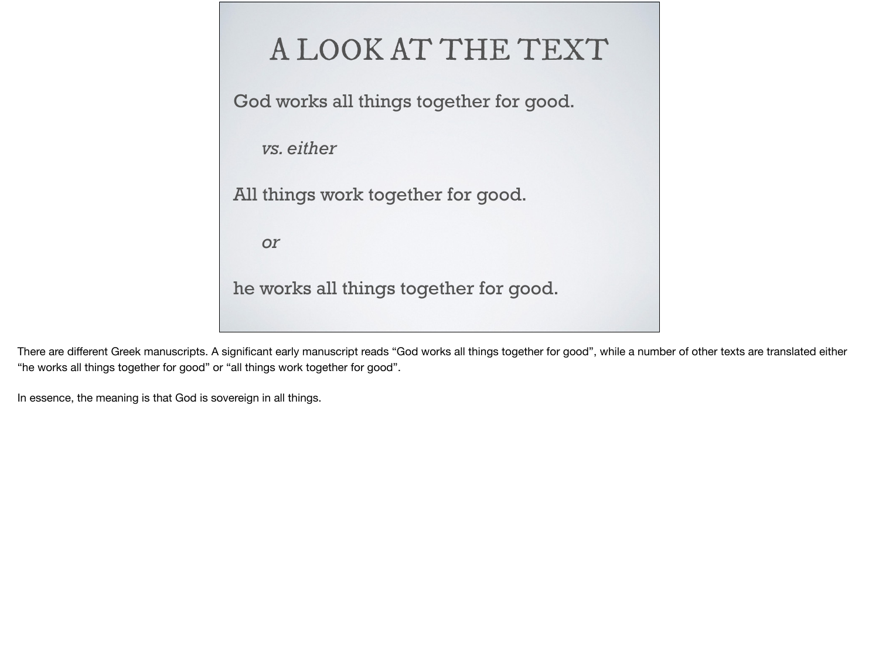

There are different Greek manuscripts. A significant early manuscript reads "God works all things together for good", while a number of other texts are translated either "he works all things together for good" or "all things work together for good".

In essence, the meaning is that God is sovereign in all things.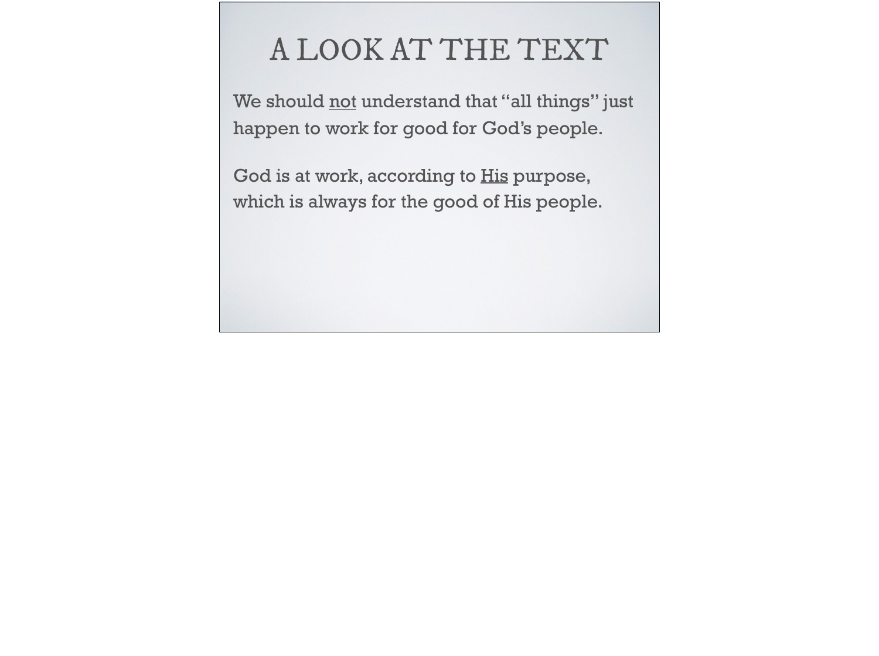#### A LOOK AT THE TEXT

We should not understand that "all things" just happen to work for good for God's people.

God is at work, according to **His purpose**, which is always for the good of His people.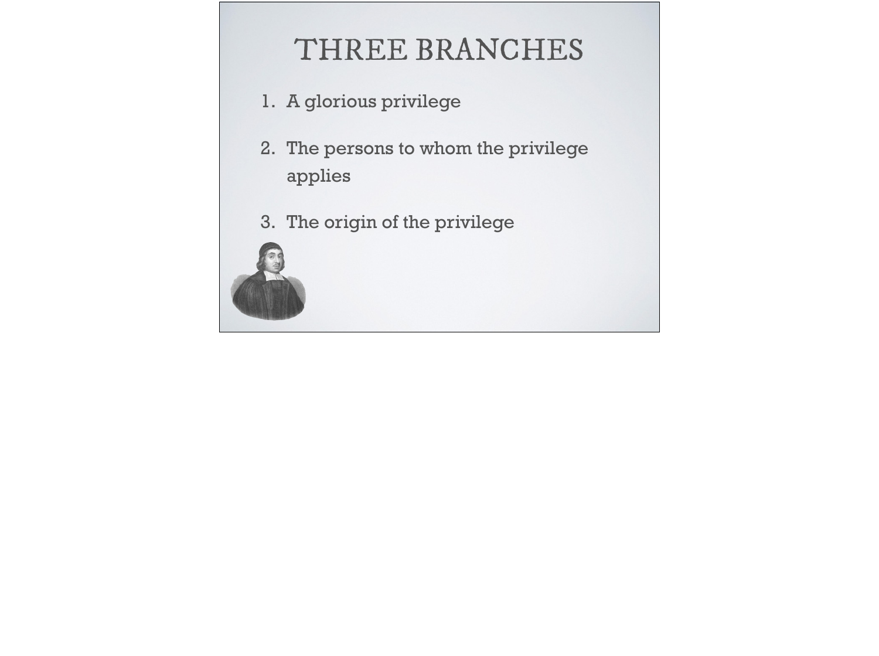## THREE BRANCHES

- 1. A glorious privilege
- 2. The persons to whom the privilege applies
- 3. The origin of the privilege

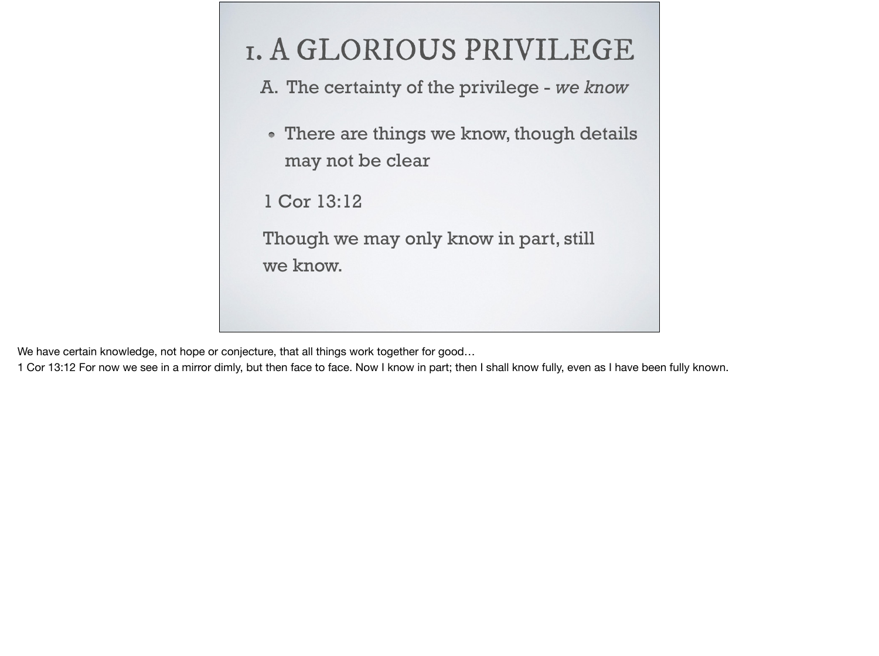# 1. A GLORIOUS PRIVILEGE A. The certainty of the privilege - *we know* • There are things we know, though details may not be clear 1 Cor 13:12 Though we may only know in part, still we know.

We have certain knowledge, not hope or conjecture, that all things work together for good…

1 Cor 13:12 For now we see in a mirror dimly, but then face to face. Now I know in part; then I shall know fully, even as I have been fully known.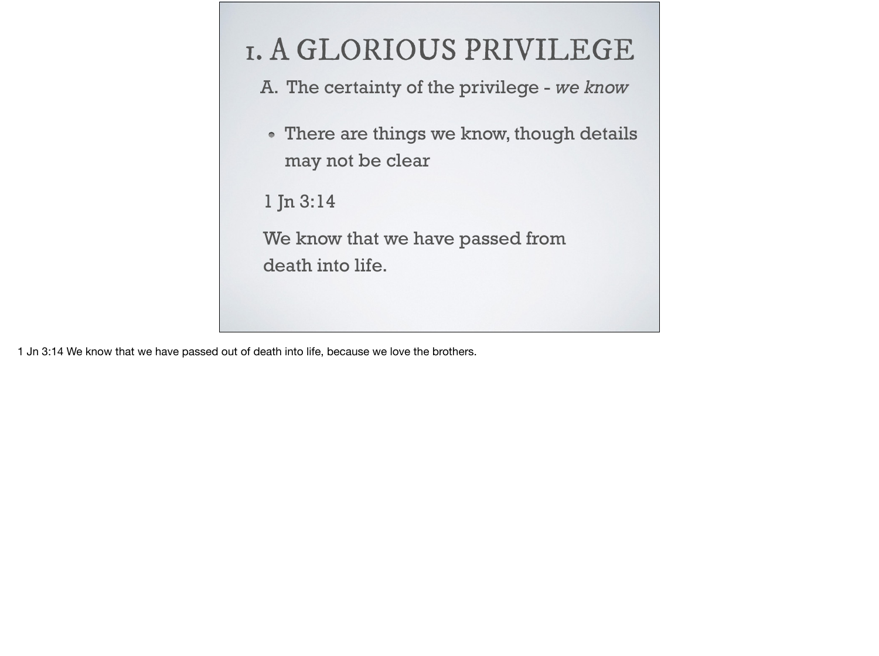- A. The certainty of the privilege *we know*
- There are things we know, though details may not be clear

1 Jn 3:14

We know that we have passed from death into life.

1 Jn 3:14 We know that we have passed out of death into life, because we love the brothers.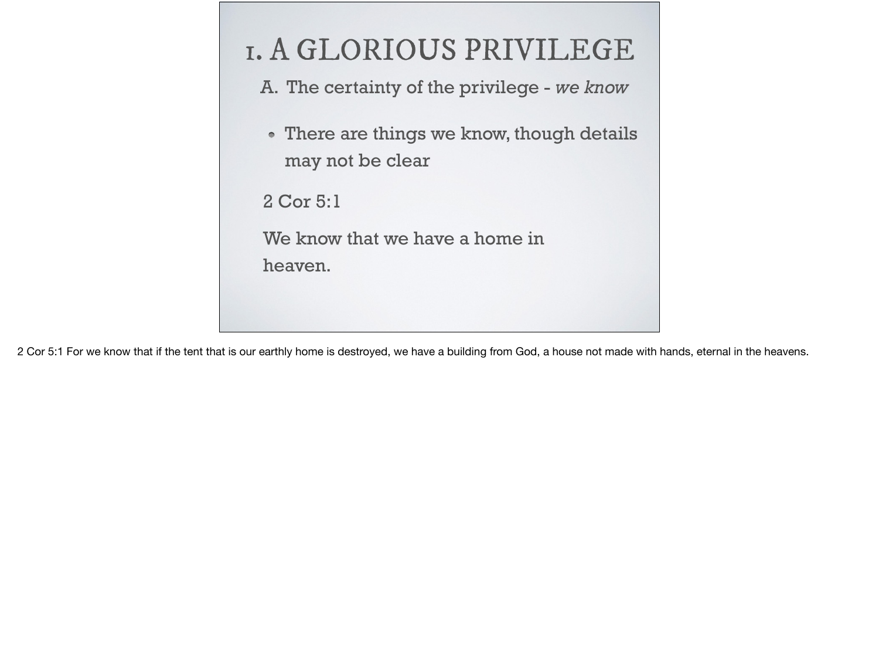

2 Cor 5:1 For we know that if the tent that is our earthly home is destroyed, we have a building from God, a house not made with hands, eternal in the heavens.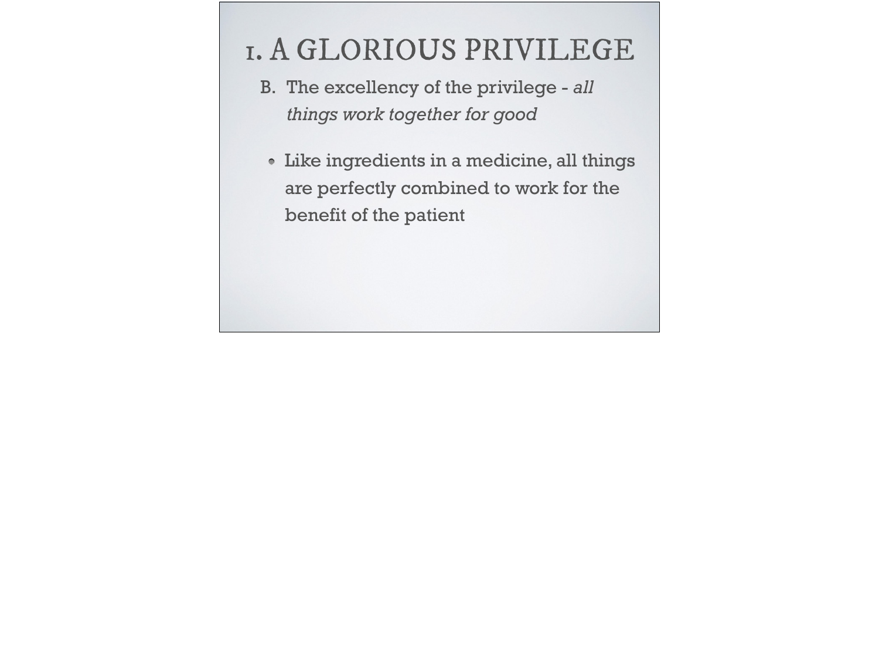- B. The excellency of the privilege *all things work together for good*
- Like ingredients in a medicine, all things are perfectly combined to work for the benefit of the patient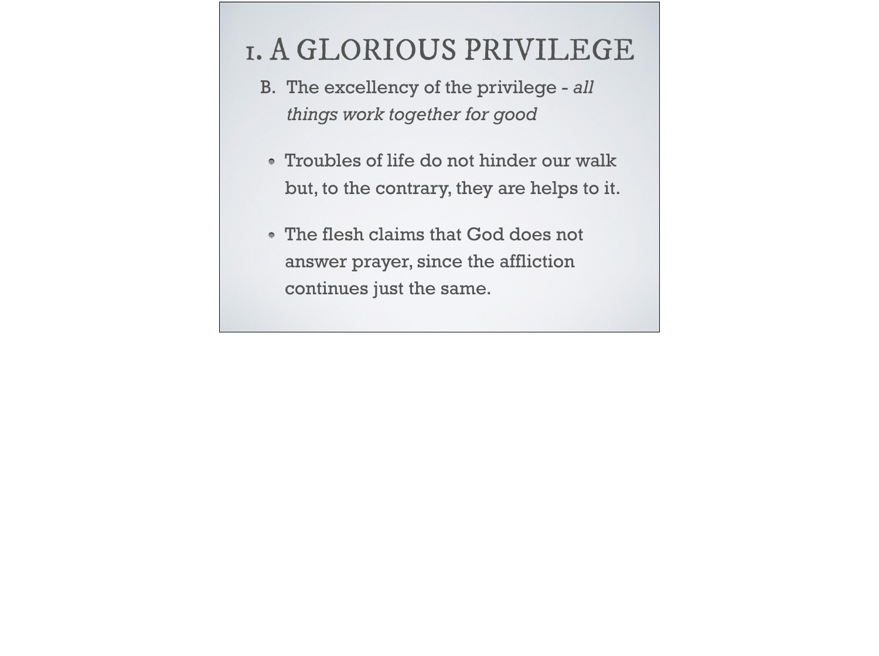- B. The excellency of the privilege *all things work together for good*
- Troubles of life do not hinder our walk but, to the contrary, they are helps to it.
- The flesh claims that God does not answer prayer, since the affliction continues just the same.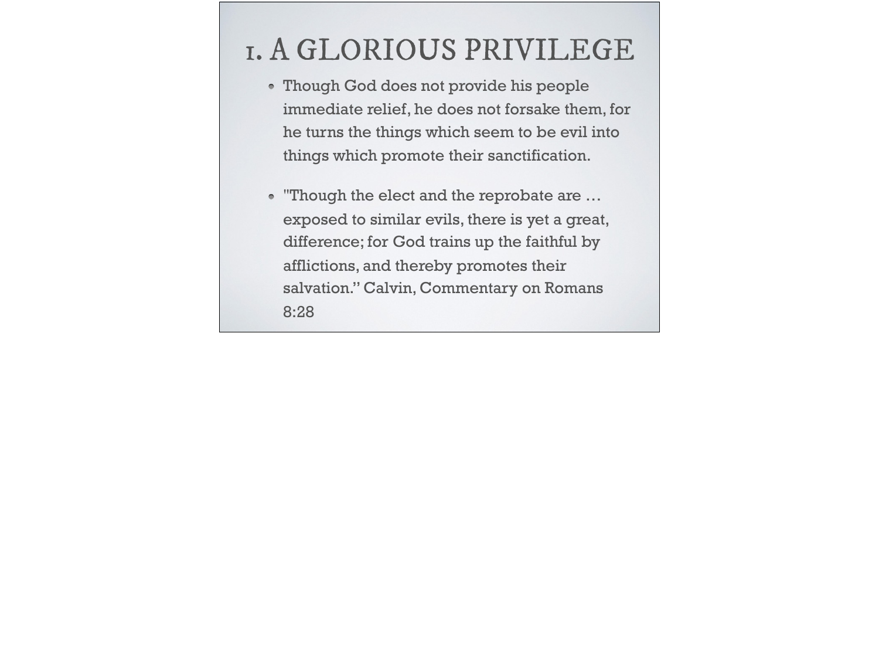- Though God does not provide his people immediate relief, he does not forsake them, for he turns the things which seem to be evil into things which promote their sanctification.
- "Though the elect and the reprobate are … exposed to similar evils, there is yet a great, difference; for God trains up the faithful by afflictions, and thereby promotes their salvation." Calvin, Commentary on Romans 8:28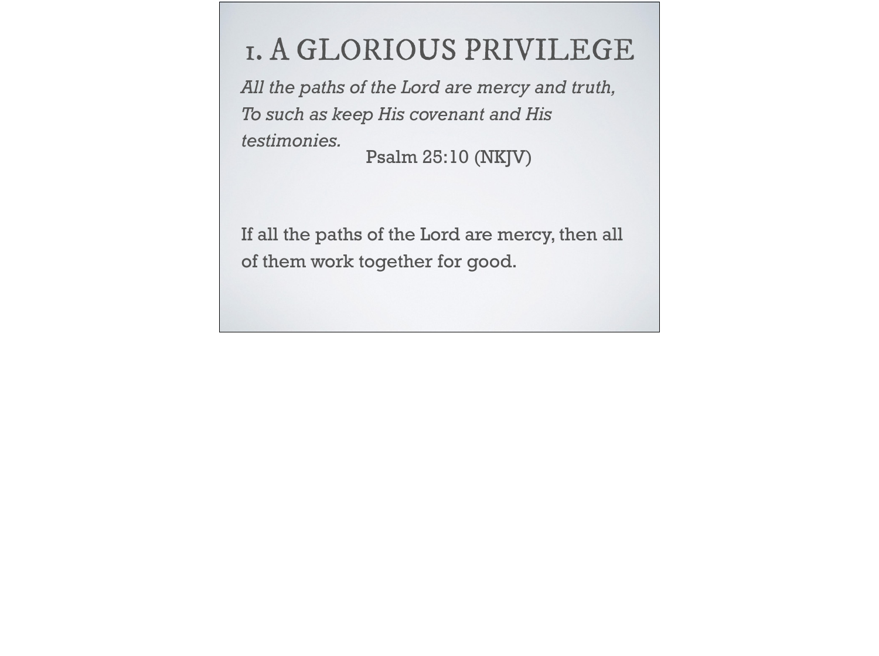*All the paths of the Lord are mercy and truth, To such as keep His covenant and His testimonies.* Psalm 25:10 (NKJV)

If all the paths of the Lord are mercy, then all of them work together for good.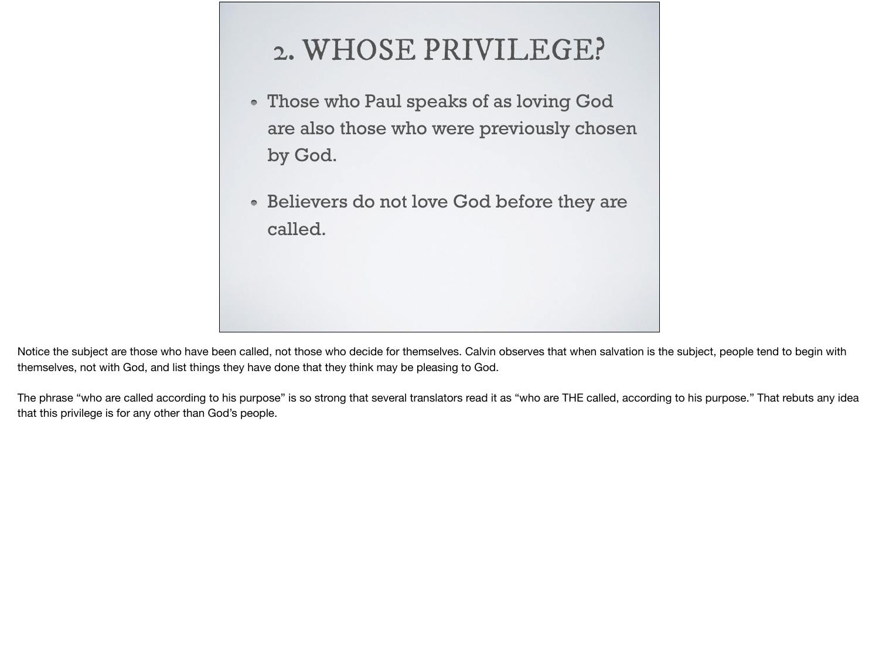## 2. WHOSE PRIVILEGE?

- Those who Paul speaks of as loving God are also those who were previously chosen by God.
- Believers do not love God before they are called.

Notice the subject are those who have been called, not those who decide for themselves. Calvin observes that when salvation is the subject, people tend to begin with themselves, not with God, and list things they have done that they think may be pleasing to God.

The phrase "who are called according to his purpose" is so strong that several translators read it as "who are THE called, according to his purpose." That rebuts any idea that this privilege is for any other than God's people.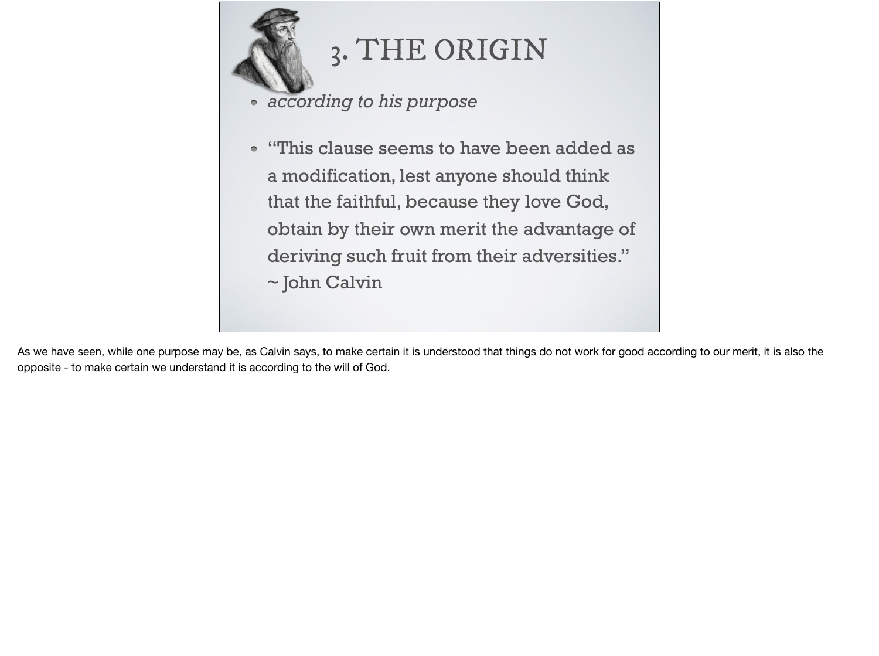

## 3. THE ORIGIN

- *according to his purpose*
- "This clause seems to have been added as  $\bullet$ a modification, lest anyone should think that the faithful, because they love God, obtain by their own merit the advantage of deriving such fruit from their adversities." ~ John Calvin

As we have seen, while one purpose may be, as Calvin says, to make certain it is understood that things do not work for good according to our merit, it is also the opposite - to make certain we understand it is according to the will of God.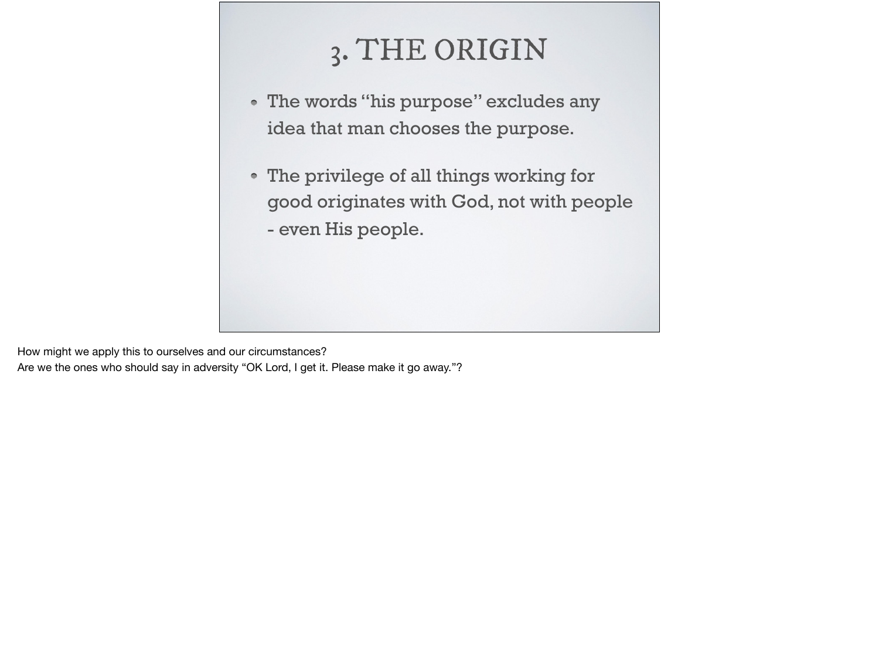## 3. THE ORIGIN

- The words "his purpose" excludes any idea that man chooses the purpose.
- The privilege of all things working for good originates with God, not with people
	- even His people.

How might we apply this to ourselves and our circumstances? Are we the ones who should say in adversity "OK Lord, I get it. Please make it go away."?